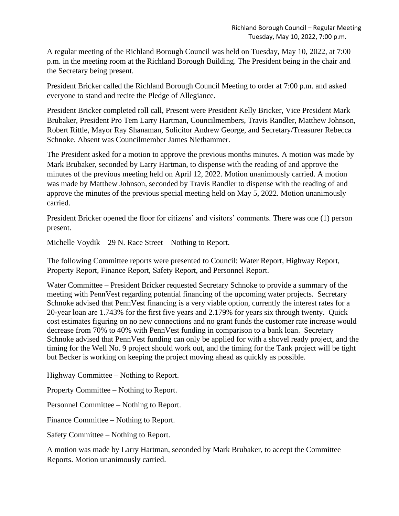A regular meeting of the Richland Borough Council was held on Tuesday, May 10, 2022, at 7:00 p.m. in the meeting room at the Richland Borough Building. The President being in the chair and the Secretary being present.

President Bricker called the Richland Borough Council Meeting to order at 7:00 p.m. and asked everyone to stand and recite the Pledge of Allegiance.

President Bricker completed roll call, Present were President Kelly Bricker, Vice President Mark Brubaker, President Pro Tem Larry Hartman, Councilmembers, Travis Randler, Matthew Johnson, Robert Rittle, Mayor Ray Shanaman, Solicitor Andrew George, and Secretary/Treasurer Rebecca Schnoke. Absent was Councilmember James Niethammer.

The President asked for a motion to approve the previous months minutes. A motion was made by Mark Brubaker, seconded by Larry Hartman, to dispense with the reading of and approve the minutes of the previous meeting held on April 12, 2022. Motion unanimously carried. A motion was made by Matthew Johnson, seconded by Travis Randler to dispense with the reading of and approve the minutes of the previous special meeting held on May 5, 2022. Motion unanimously carried.

President Bricker opened the floor for citizens' and visitors' comments. There was one (1) person present.

Michelle Voydik – 29 N. Race Street – Nothing to Report.

The following Committee reports were presented to Council: Water Report, Highway Report, Property Report, Finance Report, Safety Report, and Personnel Report.

Water Committee – President Bricker requested Secretary Schnoke to provide a summary of the meeting with PennVest regarding potential financing of the upcoming water projects. Secretary Schnoke advised that PennVest financing is a very viable option, currently the interest rates for a 20-year loan are 1.743% for the first five years and 2.179% for years six through twenty. Quick cost estimates figuring on no new connections and no grant funds the customer rate increase would decrease from 70% to 40% with PennVest funding in comparison to a bank loan. Secretary Schnoke advised that PennVest funding can only be applied for with a shovel ready project, and the timing for the Well No. 9 project should work out, and the timing for the Tank project will be tight but Becker is working on keeping the project moving ahead as quickly as possible.

Highway Committee – Nothing to Report.

Property Committee – Nothing to Report.

Personnel Committee – Nothing to Report.

Finance Committee – Nothing to Report.

Safety Committee – Nothing to Report.

A motion was made by Larry Hartman, seconded by Mark Brubaker, to accept the Committee Reports. Motion unanimously carried.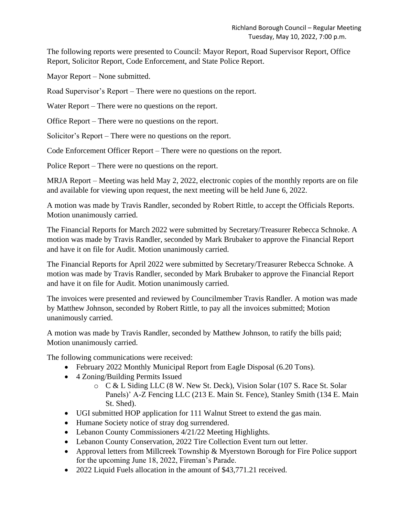The following reports were presented to Council: Mayor Report, Road Supervisor Report, Office Report, Solicitor Report, Code Enforcement, and State Police Report.

Mayor Report – None submitted.

Road Supervisor's Report – There were no questions on the report.

Water Report – There were no questions on the report.

Office Report – There were no questions on the report.

Solicitor's Report – There were no questions on the report.

Code Enforcement Officer Report – There were no questions on the report.

Police Report – There were no questions on the report.

MRJA Report – Meeting was held May 2, 2022, electronic copies of the monthly reports are on file and available for viewing upon request, the next meeting will be held June 6, 2022.

A motion was made by Travis Randler, seconded by Robert Rittle, to accept the Officials Reports. Motion unanimously carried.

The Financial Reports for March 2022 were submitted by Secretary/Treasurer Rebecca Schnoke. A motion was made by Travis Randler, seconded by Mark Brubaker to approve the Financial Report and have it on file for Audit. Motion unanimously carried.

The Financial Reports for April 2022 were submitted by Secretary/Treasurer Rebecca Schnoke. A motion was made by Travis Randler, seconded by Mark Brubaker to approve the Financial Report and have it on file for Audit. Motion unanimously carried.

The invoices were presented and reviewed by Councilmember Travis Randler. A motion was made by Matthew Johnson, seconded by Robert Rittle, to pay all the invoices submitted; Motion unanimously carried.

A motion was made by Travis Randler, seconded by Matthew Johnson, to ratify the bills paid; Motion unanimously carried.

The following communications were received:

- February 2022 Monthly Municipal Report from Eagle Disposal (6.20 Tons).
- 4 Zoning/Building Permits Issued
	- o C & L Siding LLC (8 W. New St. Deck), Vision Solar (107 S. Race St. Solar Panels)' A-Z Fencing LLC (213 E. Main St. Fence), Stanley Smith (134 E. Main St. Shed).
- UGI submitted HOP application for 111 Walnut Street to extend the gas main.
- Humane Society notice of stray dog surrendered.
- Lebanon County Commissioners 4/21/22 Meeting Highlights.
- Lebanon County Conservation, 2022 Tire Collection Event turn out letter.
- Approval letters from Millcreek Township & Myerstown Borough for Fire Police support for the upcoming June 18, 2022, Fireman's Parade.
- 2022 Liquid Fuels allocation in the amount of \$43,771.21 received.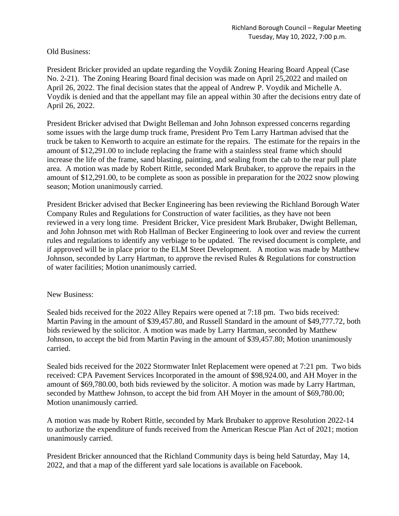Old Business:

President Bricker provided an update regarding the Voydik Zoning Hearing Board Appeal (Case No. 2-21). The Zoning Hearing Board final decision was made on April 25,2022 and mailed on April 26, 2022. The final decision states that the appeal of Andrew P. Voydik and Michelle A. Voydik is denied and that the appellant may file an appeal within 30 after the decisions entry date of April 26, 2022.

President Bricker advised that Dwight Belleman and John Johnson expressed concerns regarding some issues with the large dump truck frame, President Pro Tem Larry Hartman advised that the truck be taken to Kenworth to acquire an estimate for the repairs. The estimate for the repairs in the amount of \$12,291.00 to include replacing the frame with a stainless steal frame which should increase the life of the frame, sand blasting, painting, and sealing from the cab to the rear pull plate area. A motion was made by Robert Rittle, seconded Mark Brubaker, to approve the repairs in the amount of \$12,291.00, to be complete as soon as possible in preparation for the 2022 snow plowing season; Motion unanimously carried.

President Bricker advised that Becker Engineering has been reviewing the Richland Borough Water Company Rules and Regulations for Construction of water facilities, as they have not been reviewed in a very long time. President Bricker, Vice president Mark Brubaker, Dwight Belleman, and John Johnson met with Rob Hallman of Becker Engineering to look over and review the current rules and regulations to identify any verbiage to be updated. The revised document is complete, and if approved will be in place prior to the ELM Steet Development. A motion was made by Matthew Johnson, seconded by Larry Hartman, to approve the revised Rules & Regulations for construction of water facilities; Motion unanimously carried.

## New Business:

Sealed bids received for the 2022 Alley Repairs were opened at 7:18 pm. Two bids received: Martin Paving in the amount of \$39,457.80, and Russell Standard in the amount of \$49,777.72, both bids reviewed by the solicitor. A motion was made by Larry Hartman, seconded by Matthew Johnson, to accept the bid from Martin Paving in the amount of \$39,457.80; Motion unanimously carried.

Sealed bids received for the 2022 Stormwater Inlet Replacement were opened at 7:21 pm. Two bids received: CPA Pavement Services Incorporated in the amount of \$98,924.00, and AH Moyer in the amount of \$69,780.00, both bids reviewed by the solicitor. A motion was made by Larry Hartman, seconded by Matthew Johnson, to accept the bid from AH Moyer in the amount of \$69,780.00; Motion unanimously carried.

A motion was made by Robert Rittle, seconded by Mark Brubaker to approve Resolution 2022-14 to authorize the expenditure of funds received from the American Rescue Plan Act of 2021; motion unanimously carried.

President Bricker announced that the Richland Community days is being held Saturday, May 14, 2022, and that a map of the different yard sale locations is available on Facebook.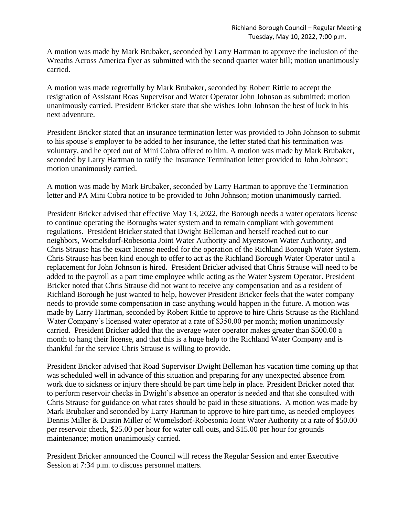A motion was made by Mark Brubaker, seconded by Larry Hartman to approve the inclusion of the Wreaths Across America flyer as submitted with the second quarter water bill; motion unanimously carried.

A motion was made regretfully by Mark Brubaker, seconded by Robert Rittle to accept the resignation of Assistant Roas Supervisor and Water Operator John Johnson as submitted; motion unanimously carried. President Bricker state that she wishes John Johnson the best of luck in his next adventure.

President Bricker stated that an insurance termination letter was provided to John Johnson to submit to his spouse's employer to be added to her insurance, the letter stated that his termination was voluntary, and he opted out of Mini Cobra offered to him. A motion was made by Mark Brubaker, seconded by Larry Hartman to ratify the Insurance Termination letter provided to John Johnson; motion unanimously carried.

A motion was made by Mark Brubaker, seconded by Larry Hartman to approve the Termination letter and PA Mini Cobra notice to be provided to John Johnson; motion unanimously carried.

President Bricker advised that effective May 13, 2022, the Borough needs a water operators license to continue operating the Boroughs water system and to remain compliant with government regulations. President Bricker stated that Dwight Belleman and herself reached out to our neighbors, Womelsdorf-Robesonia Joint Water Authority and Myerstown Water Authority, and Chris Strause has the exact license needed for the operation of the Richland Borough Water System. Chris Strause has been kind enough to offer to act as the Richland Borough Water Operator until a replacement for John Johnson is hired. President Bricker advised that Chris Strause will need to be added to the payroll as a part time employee while acting as the Water System Operator. President Bricker noted that Chris Strause did not want to receive any compensation and as a resident of Richland Borough he just wanted to help, however President Bricker feels that the water company needs to provide some compensation in case anything would happen in the future. A motion was made by Larry Hartman, seconded by Robert Rittle to approve to hire Chris Strause as the Richland Water Company's licensed water operator at a rate of \$350.00 per month; motion unanimously carried. President Bricker added that the average water operator makes greater than \$500.00 a month to hang their license, and that this is a huge help to the Richland Water Company and is thankful for the service Chris Strause is willing to provide.

President Bricker advised that Road Supervisor Dwight Belleman has vacation time coming up that was scheduled well in advance of this situation and preparing for any unexpected absence from work due to sickness or injury there should be part time help in place. President Bricker noted that to perform reservoir checks in Dwight's absence an operator is needed and that she consulted with Chris Strause for guidance on what rates should be paid in these situations. A motion was made by Mark Brubaker and seconded by Larry Hartman to approve to hire part time, as needed employees Dennis Miller & Dustin Miller of Womelsdorf-Robesonia Joint Water Authority at a rate of \$50.00 per reservoir check, \$25.00 per hour for water call outs, and \$15.00 per hour for grounds maintenance; motion unanimously carried.

President Bricker announced the Council will recess the Regular Session and enter Executive Session at 7:34 p.m. to discuss personnel matters.